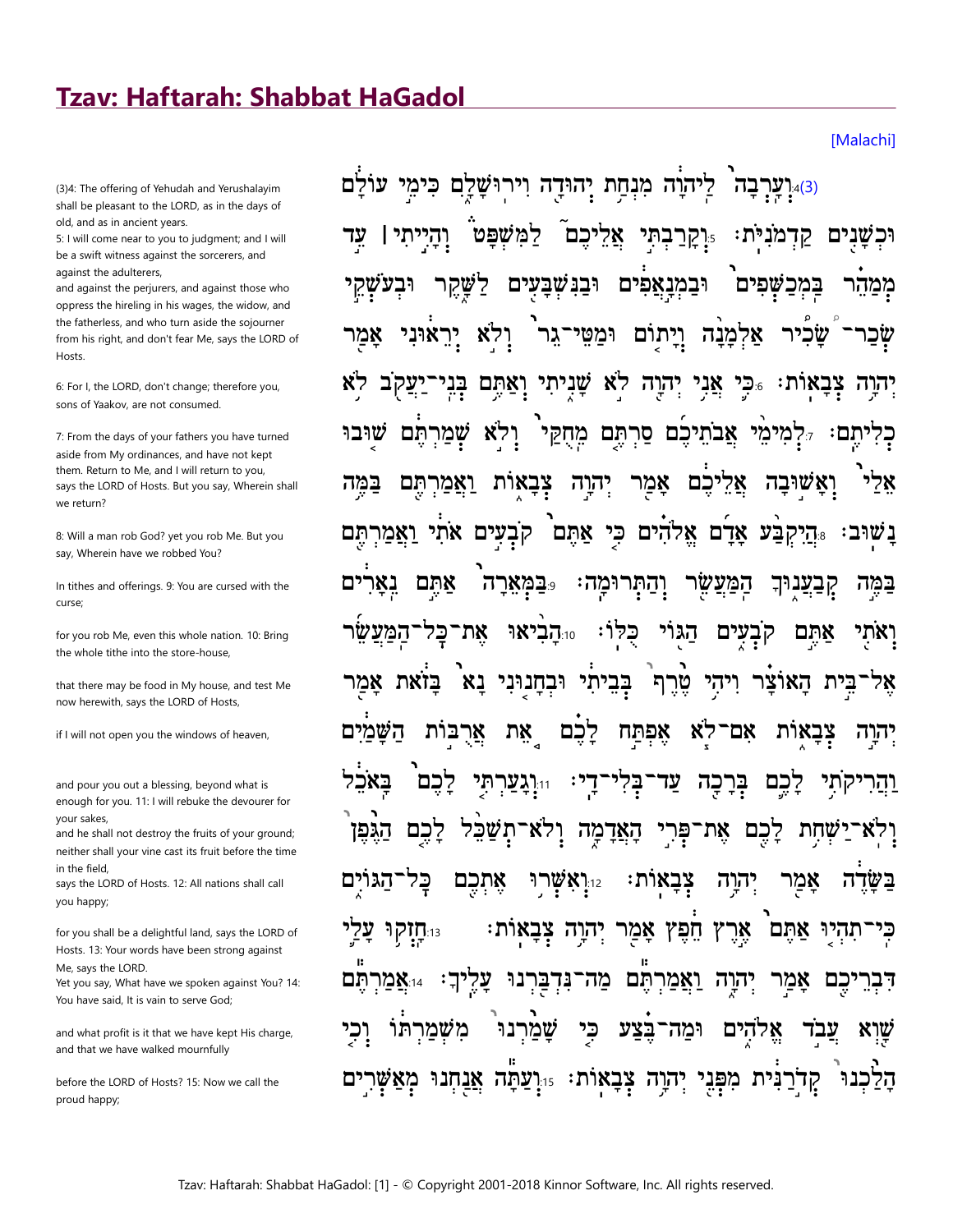## **Tzav: Haftarah: Shabbat HaGadol**

(3)4: The offering of Yehudah and Yerushalayim shall be pleasant to the LORD, as in the days of old, and as in ancient years.

5: I will come near to you to judgment; and I will be a swift witness against the sorcerers, and against the adulterers

and against the perjurers, and against those who oppress the hireling in his wages, the widow, and the fatherless, and who turn aside the sojourner from his right, and don't fear Me, says the LORD of Hosts.

6: For I, the LORD, don't change; therefore you, sons of Yaakov, are not consumed.

7: From the days of your fathers you have turned aside from My ordinances, and have not kept them. Return to Me, and I will return to you, says the LORD of Hosts. But you say, Wherein shall we return?

8: Will a man rob God? yet you rob Me. But you say, Wherein have we robbed You?

In tithes and offerings. 9: You are cursed with the curse:

for you rob Me, even this whole nation. 10: Bring the whole tithe into the store-house,

that there may be food in My house, and test Me now herewith, says the LORD of Hosts,

if I will not open you the windows of heaven,

and pour you out a blessing, beyond what is enough for you. 11: I will rebuke the devourer for vour sakes

and he shall not destroy the fruits of your ground; neither shall your vine cast its fruit before the time in the field.

says the LORD of Hosts. 12: All nations shall call you happy;

for you shall be a delightful land, says the LORD of Hosts. 13: Your words have been strong against Me, says the LORD.

Yet you say, What have we spoken against You? 14: You have said, It is vain to serve God;

and what profit is it that we have kept His charge, and that we have walked mournfully

before the LORD of Hosts? 15: Now we call the proud happy;

**Malachil** 

לַיהוָה מִנְחַת יִהוּדָה וִירוּשָׁלָם כִּימֵי עוֹלַם וערבה).4(3) רמשפט 'מנית וכשנים יכם י**ָּיְקַרַבְתִּי** במכשפים וּבנּשׁבּעים וּבמנאפים ממהו וּמַטֵי־גֵר אַלְמַנַה וַיַתוֹם לא צָבָאות: <sub>פּֿ</sub>כִּי אֲנִי לא שניתי יִהוָה בֵנ ואתם אֲבֹתֵיכֶם סַרְתֵּם מֵחָקֵי שוּבוּ תם דלמימי? תם: אַמַר יהוה כם ואשובה במה ואמרתם צָבַאות 78 קבעים אתי היקבע אדם אלהים כי אתם. ואמרתם נאר אתם **פּבּמארה** וְהַתְּרוּמַה המעשר <u>קבע</u>נוּך במה את־כַּל 10:**הביאו** כּלו הגוי קבעים אתם המע' בביתי ובחנוני נא אמר בזאת ּטֵרֵת ויהי האוצר בית 78 ַרְכֶם השמים אֵרְבּות את אפתח לא אם צבאות יִהרַה <u>ֹדְ</u>ל: כם וּי**ָיְגַעַרתִּי** עד לכם בלי בר קתי כה והר האדמה את־פּרי לכם לכם תשכל שחת הגפו ולא־ כל אתכם וואשרו? **צבאות:** יהוה אמר בשדה הגו יָבַאוֹת: אָמַר ץ חֵפֵּץ <sub>13:</sub>חָזַקו<sup>ּ</sup> יִהוָה אר תהיו אתם <u>ואַמַרְתֵּם</u> עליך: מֲה־נִּדְבַּרְנוּ תם <sub>14:</sub>אֲמַר יהוה אמר יכם דבר בצע כי שֲמַרְנוּ אלהים שוא משמרתו ומה־ עבד קַדֹרַנִּית מִפְּנֵי יְהוֶה צִבְאוֹת: <sub>יי</sub>וָעַתָּה אֲנַחְנוּ מאשו הלנ